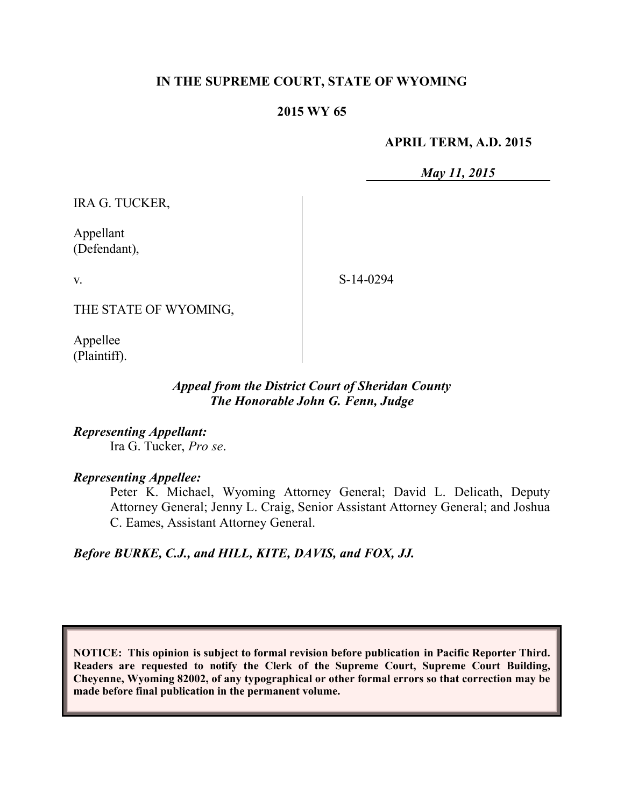## **IN THE SUPREME COURT, STATE OF WYOMING**

#### **2015 WY 65**

#### **APRIL TERM, A.D. 2015**

*May 11, 2015*

IRA G. TUCKER,

Appellant (Defendant),

v.

S-14-0294

THE STATE OF WYOMING,

Appellee (Plaintiff).

## *Appeal from the District Court of Sheridan County The Honorable John G. Fenn, Judge*

*Representing Appellant:* Ira G. Tucker, *Pro se*.

#### *Representing Appellee:*

Peter K. Michael, Wyoming Attorney General; David L. Delicath, Deputy Attorney General; Jenny L. Craig, Senior Assistant Attorney General; and Joshua C. Eames, Assistant Attorney General.

*Before BURKE, C.J., and HILL, KITE, DAVIS, and FOX, JJ.*

**NOTICE: This opinion is subject to formal revision before publication in Pacific Reporter Third. Readers are requested to notify the Clerk of the Supreme Court, Supreme Court Building, Cheyenne, Wyoming 82002, of any typographical or other formal errors so that correction may be made before final publication in the permanent volume.**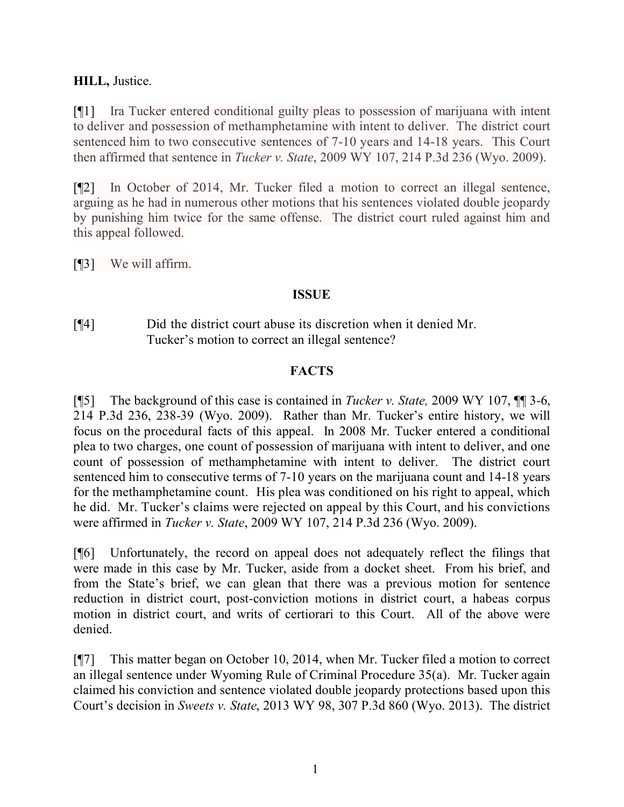# **HILL,** Justice.

[¶1] Ira Tucker entered conditional guilty pleas to possession of marijuana with intent to deliver and possession of methamphetamine with intent to deliver. The district court sentenced him to two consecutive sentences of 7-10 years and 14-18 years. This Court then affirmed that sentence in *Tucker v. State*, 2009 WY 107, 214 P.3d 236 (Wyo. 2009).

[¶2] In October of 2014, Mr. Tucker filed a motion to correct an illegal sentence, arguing as he had in numerous other motions that his sentences violated double jeopardy by punishing him twice for the same offense. The district court ruled against him and this appeal followed.

[¶3] We will affirm.

## **ISSUE**

[¶4] Did the district court abuse its discretion when it denied Mr. Tucker's motion to correct an illegal sentence?

## **FACTS**

[¶5] The background of this case is contained in *Tucker v. State,* 2009 WY 107, ¶¶ 3-6, 214 P.3d 236, 238-39 (Wyo. 2009). Rather than Mr. Tucker's entire history, we will focus on the procedural facts of this appeal. In 2008 Mr. Tucker entered a conditional plea to two charges, one count of possession of marijuana with intent to deliver, and one count of possession of methamphetamine with intent to deliver. The district court sentenced him to consecutive terms of 7-10 years on the marijuana count and 14-18 years for the methamphetamine count. His plea was conditioned on his right to appeal, which he did. Mr. Tucker's claims were rejected on appeal by this Court, and his convictions were affirmed in *Tucker v. State*, 2009 WY 107, 214 P.3d 236 (Wyo. 2009).

[¶6] Unfortunately, the record on appeal does not adequately reflect the filings that were made in this case by Mr. Tucker, aside from a docket sheet. From his brief, and from the State's brief, we can glean that there was a previous motion for sentence reduction in district court, post-conviction motions in district court, a habeas corpus motion in district court, and writs of certiorari to this Court. All of the above were denied.

[¶7] This matter began on October 10, 2014, when Mr. Tucker filed a motion to correct an illegal sentence under Wyoming Rule of Criminal Procedure 35(a). Mr. Tucker again claimed his conviction and sentence violated double jeopardy protections based upon this Court's decision in *Sweets v. State*, 2013 WY 98, 307 P.3d 860 (Wyo. 2013). The district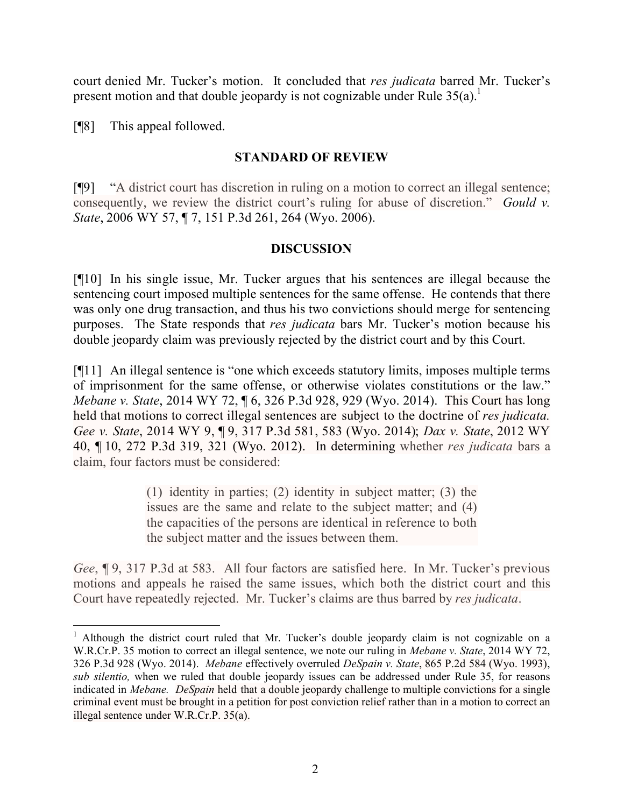court denied Mr. Tucker's motion. It concluded that *res judicata* barred Mr. Tucker's present motion and that double jeopardy is not cognizable under Rule  $35(a)$ .<sup>1</sup>

[¶8] This appeal followed.

 $\overline{a}$ 

# **STANDARD OF REVIEW**

[¶9] "A district court has discretion in ruling on a motion to correct an illegal sentence; consequently, we review the district court's ruling for abuse of discretion." *Gould v. State*, 2006 WY 57, ¶ 7, 151 P.3d 261, 264 (Wyo. 2006).

## **DISCUSSION**

[¶10] In his single issue, Mr. Tucker argues that his sentences are illegal because the sentencing court imposed multiple sentences for the same offense. He contends that there was only one drug transaction, and thus his two convictions should merge for sentencing purposes. The State responds that *res judicata* bars Mr. Tucker's motion because his double jeopardy claim was previously rejected by the district court and by this Court.

[¶11] An illegal sentence is "one which exceeds statutory limits, imposes multiple terms of imprisonment for the same offense, or otherwise violates constitutions or the law." *Mebane v. State*, 2014 WY 72, ¶ 6, 326 P.3d 928, 929 (Wyo. 2014). This Court has long held that motions to correct illegal sentences are subject to the doctrine of *res judicata. Gee v. State*, 2014 WY 9, ¶ 9, 317 P.3d 581, 583 (Wyo. 2014); *Dax v. State*, 2012 WY 40, ¶ 10, 272 P.3d 319, 321 (Wyo. 2012). In determining whether *res judicata* bars a claim, four factors must be considered:

> (1) identity in parties; (2) identity in subject matter; (3) the issues are the same and relate to the subject matter; and (4) the capacities of the persons are identical in reference to both the subject matter and the issues between them.

*Gee*, ¶ 9, 317 P.3d at 583. All four factors are satisfied here. In Mr. Tucker's previous motions and appeals he raised the same issues, which both the district court and this Court have repeatedly rejected. Mr. Tucker's claims are thus barred by *res judicata*.

<sup>&</sup>lt;sup>1</sup> Although the district court ruled that Mr. Tucker's double jeopardy claim is not cognizable on a W.R.Cr.P. 35 motion to correct an illegal sentence, we note our ruling in *Mebane v. State*, 2014 WY 72, 326 P.3d 928 (Wyo. 2014). *Mebane* effectively overruled *DeSpain v. State*, 865 P.2d 584 (Wyo. 1993), *sub silentio,* when we ruled that double jeopardy issues can be addressed under Rule 35, for reasons indicated in *Mebane. DeSpain* held that a double jeopardy challenge to multiple convictions for a single criminal event must be brought in a petition for post conviction relief rather than in a motion to correct an illegal sentence under W.R.Cr.P. 35(a).